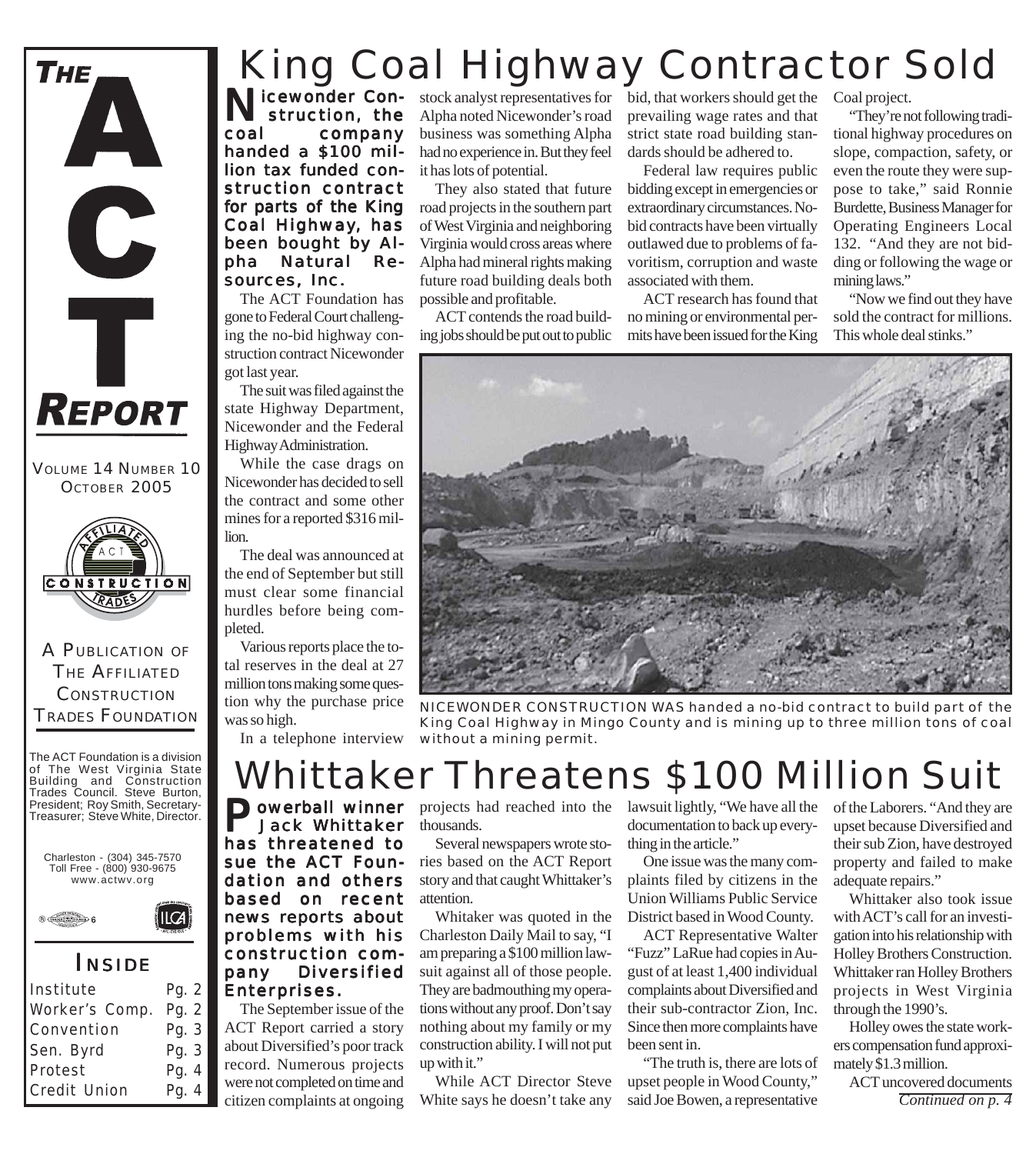

VOLUME 14 NUMBER 10 OCTOBER 2005



A PUBLICATION OF THE AFFILIATED **CONSTRUCTION** TRADES FOUNDATION

The ACT Foundation is a division of The West Virginia State Building and Construction Trades Council. Steve Burton, President; Roy Smith, Secretary-Treasurer; Steve White, Director.



 $ICA$ 



### *I NSIDE*

| Institute      | Pg. 2 |
|----------------|-------|
| Worker's Comp. | Pg. 2 |
| Convention     | Pg. 3 |
| Sen. Byrd      | Pg. 3 |
| Protest        | Pg. 4 |
| Credit Union   | Pg. 4 |
|                |       |

### King Coal Highway Contractor Sold

Nicewonder Con-<br>
struction, the<br>
coal company struction, the company handed a \$100 million tax funded construction contract for parts of the King Coal Highway, has been bought by Alpha Natural Resources, Inc.

The ACT Foundation has gone to Federal Court challenging the no-bid highway construction contract Nicewonder got last year.

The suit was filed against the state Highway Department, Nicewonder and the Federal Highway Administration.

While the case drags on Nicewonder has decided to sell the contract and some other mines for a reported \$316 million.

The deal was announced at the end of September but still must clear some financial hurdles before being completed.

Various reports place the total reserves in the deal at 27 million tons making some question why the purchase price was so high.

In a telephone interview

stock analyst representatives for bid, that workers should get the Alpha noted Nicewonder's road business was something Alpha had no experience in. But they feel it has lots of potential.

They also stated that future road projects in the southern part of West Virginia and neighboring Virginia would cross areas where Alpha had mineral rights making future road building deals both possible and profitable.

ACT contends the road building jobs should be put out to public prevailing wage rates and that strict state road building standards should be adhered to.

Federal law requires public bidding except in emergencies or extraordinary circumstances. Nobid contracts have been virtually outlawed due to problems of favoritism, corruption and waste associated with them.

ACT research has found that no mining or environmental permits have been issued for the King

Coal project.

"They're not following traditional highway procedures on slope, compaction, safety, or even the route they were suppose to take," said Ronnie Burdette, Business Manager for Operating Engineers Local 132. "And they are not bidding or following the wage or mining laws."

"Now we find out they have sold the contract for millions. This whole deal stinks."



*NICEWONDER CONSTRUCTION WAS handed a no-bid contract to build part of the King Coal Highway in Mingo County and is mining up to three million tons of coal without a mining permit.*

### Whittaker Threatens \$100 Million Suit

**Dowerball winner**  Jack Whittaker has threatened to sue the ACT Foundation and others based on recent news reports about problems with his construction company Diversified Enterprises.

The September issue of the ACT Report carried a story about Diversified's poor track record. Numerous projects were not completed on time and citizen complaints at ongoing

projects had reached into the lawsuit lightly, "We have all the thousands.

Several newspapers wrote stories based on the ACT Report story and that caught Whittaker's attention.

Whitaker was quoted in the Charleston Daily Mail to say, "I am preparing a \$100 million lawsuit against all of those people. They are badmouthing my operations without any proof. Don't say nothing about my family or my construction ability. I will not put up with it."

While ACT Director Steve White says he doesn't take any

documentation to back up everything in the article."

One issue was the many complaints filed by citizens in the Union Williams Public Service District based in Wood County.

ACT Representative Walter "Fuzz" LaRue had copies in August of at least 1,400 individual complaints about Diversified and their sub-contractor Zion, Inc. Since then more complaints have been sent in.

"The truth is, there are lots of upset people in Wood County," said Joe Bowen, a representative

of the Laborers. "And they are upset because Diversified and their sub Zion, have destroyed property and failed to make adequate repairs."

Whittaker also took issue with ACT's call for an investigation into his relationship with Holley Brothers Construction. Whittaker ran Holley Brothers projects in West Virginia through the 1990's.

Holley owes the state workers compensation fund approximately \$1.3 million.

ACT uncovered documents *Continued on p. 4*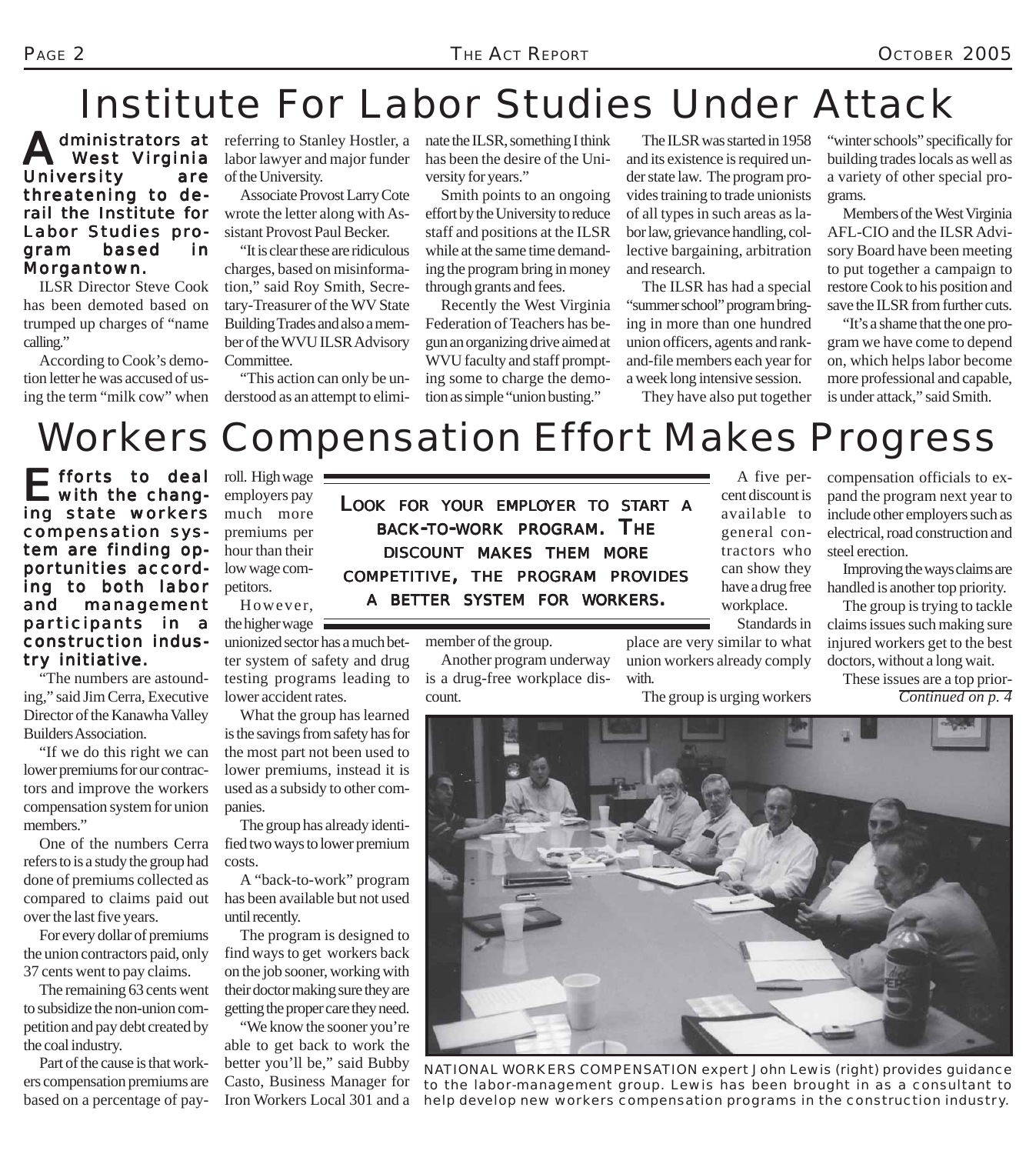## Institute For Labor Studies Under Attack

Administrators at West Virginia University are threatening to derail the Institute for Labor Studies program based in Morgantown.

ILSR Director Steve Cook has been demoted based on trumped up charges of "name calling."

According to Cook's demotion letter he was accused of using the term "milk cow" when

dministrators at referring to Stanley Hostler, a labor lawyer and major funder of the University.

> Associate Provost Larry Cote wrote the letter along with Assistant Provost Paul Becker.

> "It is clear these are ridiculous charges, based on misinformation," said Roy Smith, Secretary-Treasurer of the WV State Building Trades and also a member of the WVU ILSR Advisory Committee.

> "This action can only be understood as an attempt to elimi

nate the ILSR, something I think has been the desire of the University for years."

Smith points to an ongoing effort by the University to reduce staff and positions at the ILSR while at the same time demanding the program bring in money through grants and fees.

Recently the West Virginia Federation of Teachers has begun an organizing drive aimed at WVU faculty and staff prompting some to charge the demotion as simple "union busting."

The ILSR was started in 1958 and its existence is required under state law. The program provides training to trade unionists of all types in such areas as labor law, grievance handling, collective bargaining, arbitration and research.

The ILSR has had a special "summer school" program bringing in more than one hundred union officers, agents and rankand-file members each year for a week long intensive session.

They have also put together

"winter schools" specifically for building trades locals as well as a variety of other special programs.

Members of the West Virginia AFL-CIO and the ILSR Advisory Board have been meeting to put together a campaign to restore Cook to his position and save the ILSR from further cuts.

"It's a shame that the one program we have come to depend on, which helps labor become more professional and capable, is under attack," said Smith.

## Workers Compensation Effort Makes Progress

Efforts to deal<br>with the changing state workers compensation sys- compensation system are finding opportunities according to both labor and management par ticipants in a construction industry initiative.

"The numbers are astounding," said Jim Cerra, Executive Director of the Kanawha Valley Builders Association.

"If we do this right we can lower premiums for our contractors and improve the workers compensation system for union members."

One of the numbers Cerra refers to is a study the group had done of premiums collected as compared to claims paid out over the last five years.

For every dollar of premiums the union contractors paid, only 37 cents went to pay claims.

The remaining 63 cents went to subsidize the non-union competition and pay debt created by the coal industry.

Part of the cause is that workers compensation premiums are based on a percentage of payroll. High wage employers pay much more premiums per hour than their low wage competitors.

However, the higher wage

unionized sector has a much better system of safety and drug testing programs leading to lower accident rates.

What the group has learned is the savings from safety has for the most part not been used to lower premiums, instead it is used as a subsidy to other companies.

The group has already identified two ways to lower premium costs.

A "back-to-work" program has been available but not used until recently.

The program is designed to find ways to get workers back on the job sooner, working with their doctor making sure they are getting the proper care they need.

"We know the sooner you're able to get back to work the better you'll be," said Bubby Casto, Business Manager for Iron Workers Local 301 and a

*LOOK FOR YOUR EMPLOYER TO START A BACK-TO-WORK PROGRAM. THE DISCOUNT MAKES THEM MORE COMPETITIVE, THE PROGRAM PROVIDES A BETTER SYSTEM FOR WORKERS.*

member of the group.

Another program underway is a drug-free workplace discount.

A five percent discount is available to general contractors who can show they have a drug free workplace. Standards in

place are very similar to what union workers already comply with.

The group is urging workers

compensation officials to expand the program next year to include other employers such as electrical, road construction and steel erection.

Improving the ways claims are handled is another top priority.

The group is trying to tackle claims issues such making sure injured workers get to the best doctors, without a long wait.

These issues are a top prior-*Continued on p. 4*



*NATIONAL WORKERS COMPENSATION expert John Lewis (right) provides guidance to the labor-management group. Lewis has been brought in as a consultant to help develop new workers compensation programs in the construction industry.*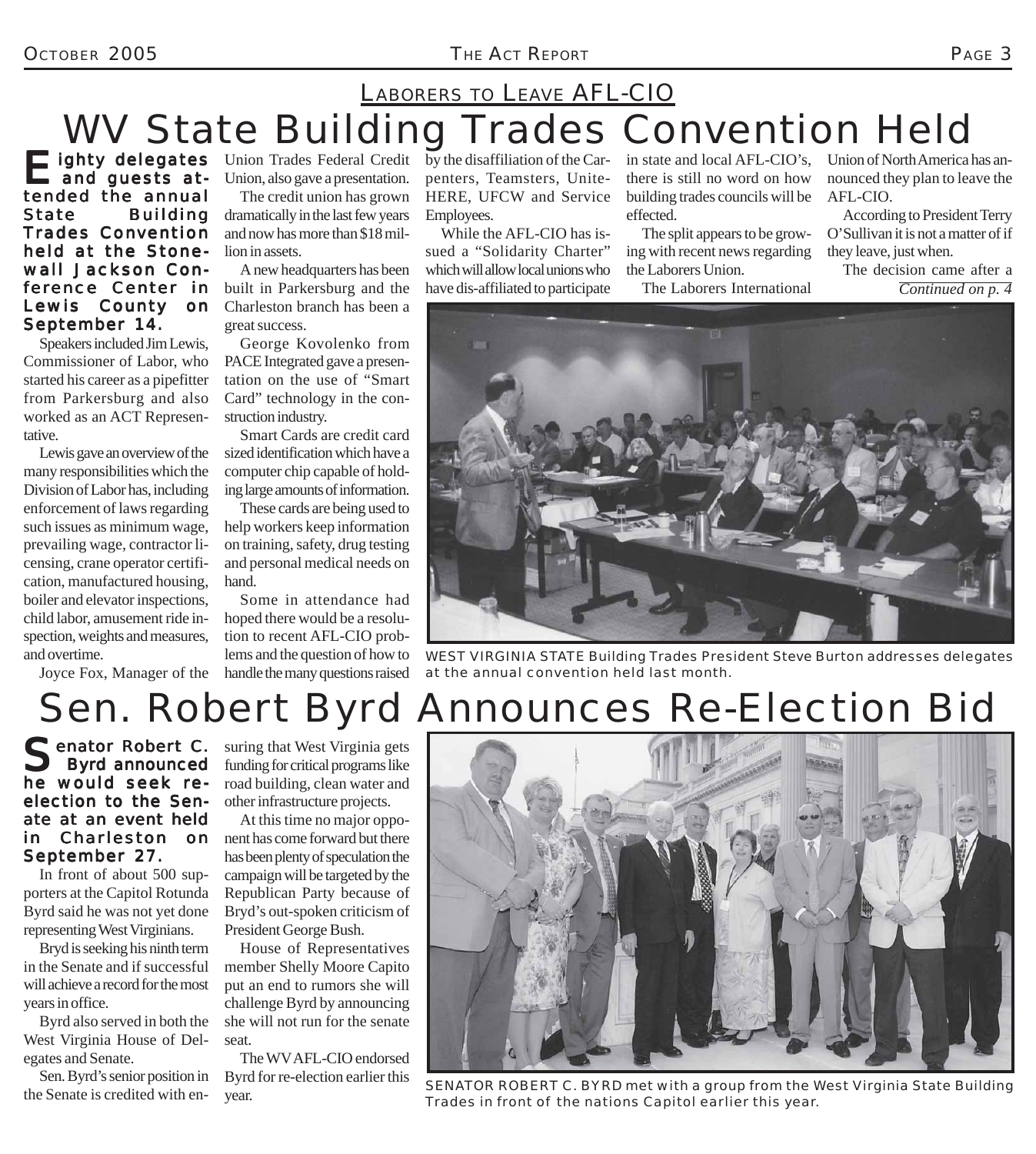#### OCTOBER 2005 *THE ACT REPORT* PAGE 3

### LABORERS TO LEAVE AFL-CIO

# WV State Building Trades Convention Held

Eighty delegates Union Trades Federal Credit<br>
and guests at-<br>
Union, also gave a presentation. and guests attended the annual State Building Trades Convention held at the Stonewall Jackson Conference Center in Lewis County on September 14.

Speakers included Jim Lewis, Commissioner of Labor, who started his career as a pipefitter from Parkersburg and also worked as an ACT Representative.

Lewis gave an overview of the many responsibilities which the Division of Labor has, including enforcement of laws regarding such issues as minimum wage, prevailing wage, contractor licensing, crane operator certification, manufactured housing, boiler and elevator inspections, child labor, amusement ride inspection, weights and measures, and overtime.

Joyce Fox, Manager of the

Union, also gave a presentation.

The credit union has grown dramatically in the last few years and now has more than \$18 million in assets.

A new headquarters has been built in Parkersburg and the Charleston branch has been a great success.

George Kovolenko from PACE Integrated gave a presentation on the use of "Smart Card" technology in the construction industry.

Smart Cards are credit card sized identification which have a computer chip capable of holding large amounts of information.

These cards are being used to help workers keep information on training, safety, drug testing and personal medical needs on hand.

Some in attendance had hoped there would be a resolution to recent AFL-CIO problems and the question of how to handle the many questions raised

by the disaffiliation of the Carpenters, Teamsters, Unite-HERE, UFCW and Service Employees.

While the AFL-CIO has issued a "Solidarity Charter" which will allow local unions who have dis-affiliated to participate in state and local AFL-CIO's, there is still no word on how building trades councils will be effected.

The split appears to be growing with recent news regarding the Laborers Union.

The Laborers International

Union of North America has announced they plan to leave the AFL-CIO.

According to President Terry O'Sullivan it is not a matter of if they leave, just when.

The decision came after a *Continued on p. 4*



*WEST VIRGINIA STATE Building Trades President Steve Burton addresses delegates at the annual convention held last month.*

## Sen. Robert Byrd Announces Re-Election Bid

enator Robert C. Byrd announced he would seek reelection to the Senate at an event held in Charleston on September 27.

In front of about 500 supporters at the Capitol Rotunda Byrd said he was not yet done representing West Virginians.

Bryd is seeking his ninth term in the Senate and if successful will achieve a record for the most years in office.

Byrd also served in both the West Virginia House of Delegates and Senate.

Sen. Byrd's senior position in the Senate is credited with ensuring that West Virginia gets funding for critical programs like road building, clean water and other infrastructure projects.

At this time no major opponent has come forward but there has been plenty of speculation the campaign will be targeted by the Republican Party because of Bryd's out-spoken criticism of President George Bush.

House of Representatives member Shelly Moore Capito put an end to rumors she will challenge Byrd by announcing she will not run for the senate seat.

The WV AFL-CIO endorsed Byrd for re-election earlier this



Byth for re-election carner this<br>*SENATOR ROBERT C. BYRD met with a group from the West Virginia State Building*<br>*Trades in front of the potions Conital astlies this year*. *Trades in front of the nations Capitol earlier this year.*